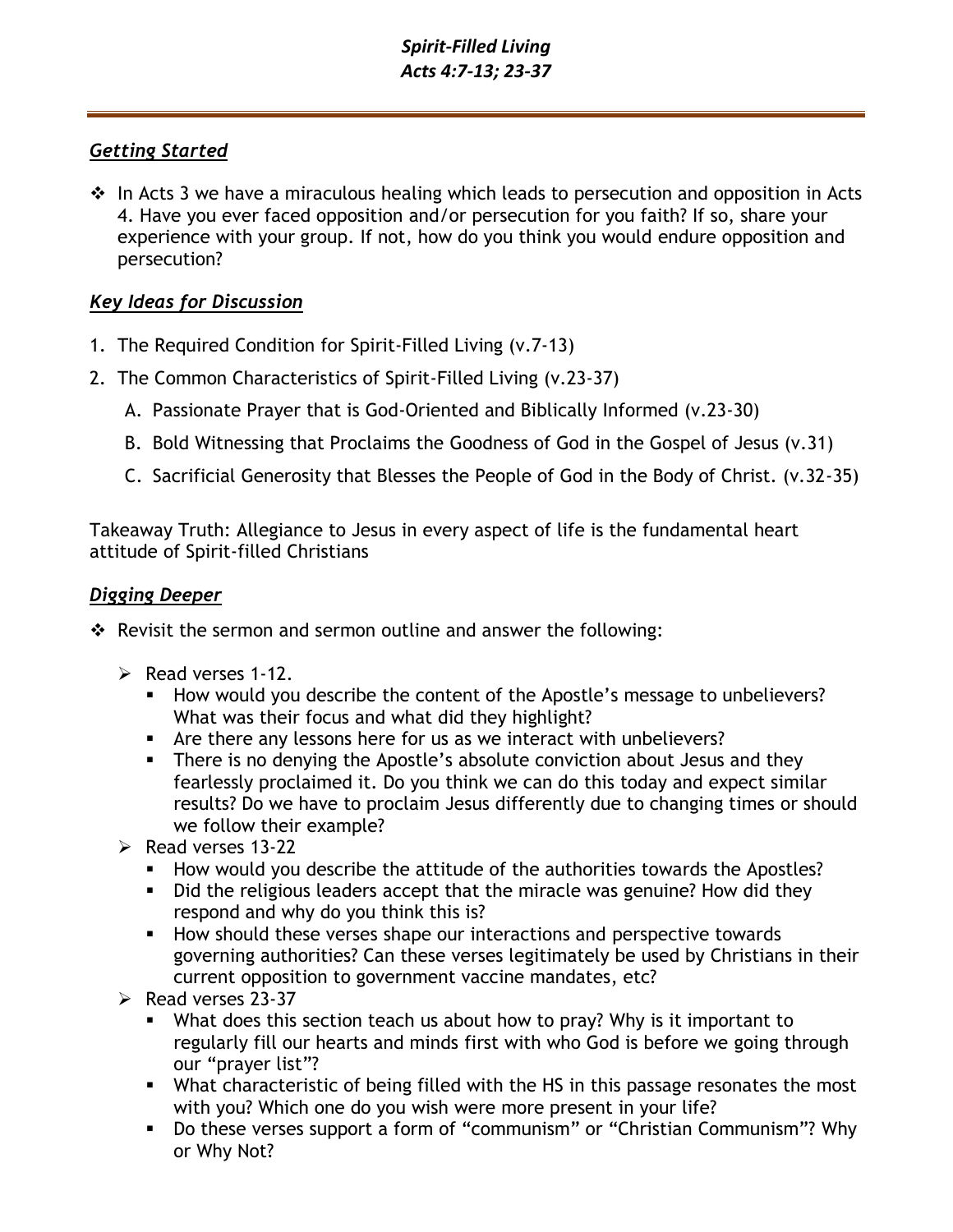# *Getting Started*

❖ In Acts 3 we have a miraculous healing which leads to persecution and opposition in Acts 4. Have you ever faced opposition and/or persecution for you faith? If so, share your experience with your group. If not, how do you think you would endure opposition and persecution?

# *Key Ideas for Discussion*

- 1. The Required Condition for Spirit-Filled Living (v.7-13)
- 2. The Common Characteristics of Spirit-Filled Living (v.23-37)
	- A. Passionate Prayer that is God-Oriented and Biblically Informed (v.23-30)
	- B. Bold Witnessing that Proclaims the Goodness of God in the Gospel of Jesus (v.31)
	- C. Sacrificial Generosity that Blesses the People of God in the Body of Christ. (v.32-35)

Takeaway Truth: Allegiance to Jesus in every aspect of life is the fundamental heart attitude of Spirit-filled Christians

### *Digging Deeper*

- ❖ Revisit the sermon and sermon outline and answer the following:
	- $\triangleright$  Read verses 1-12.
		- How would you describe the content of the Apostle's message to unbelievers? What was their focus and what did they highlight?
		- Are there any lessons here for us as we interact with unbelievers?
		- **There is no denying the Apostle's absolute conviction about Jesus and they** fearlessly proclaimed it. Do you think we can do this today and expect similar results? Do we have to proclaim Jesus differently due to changing times or should we follow their example?
	- ➢ Read verses 13-22
		- **■** How would you describe the attitude of the authorities towards the Apostles?
		- **•** Did the religious leaders accept that the miracle was genuine? How did they respond and why do you think this is?
		- **■** How should these verses shape our interactions and perspective towards governing authorities? Can these verses legitimately be used by Christians in their current opposition to government vaccine mandates, etc?
	- ➢ Read verses 23-37
		- What does this section teach us about how to pray? Why is it important to regularly fill our hearts and minds first with who God is before we going through our "prayer list"?
		- What characteristic of being filled with the HS in this passage resonates the most with you? Which one do you wish were more present in your life?
		- Do these verses support a form of "communism" or "Christian Communism"? Why or Why Not?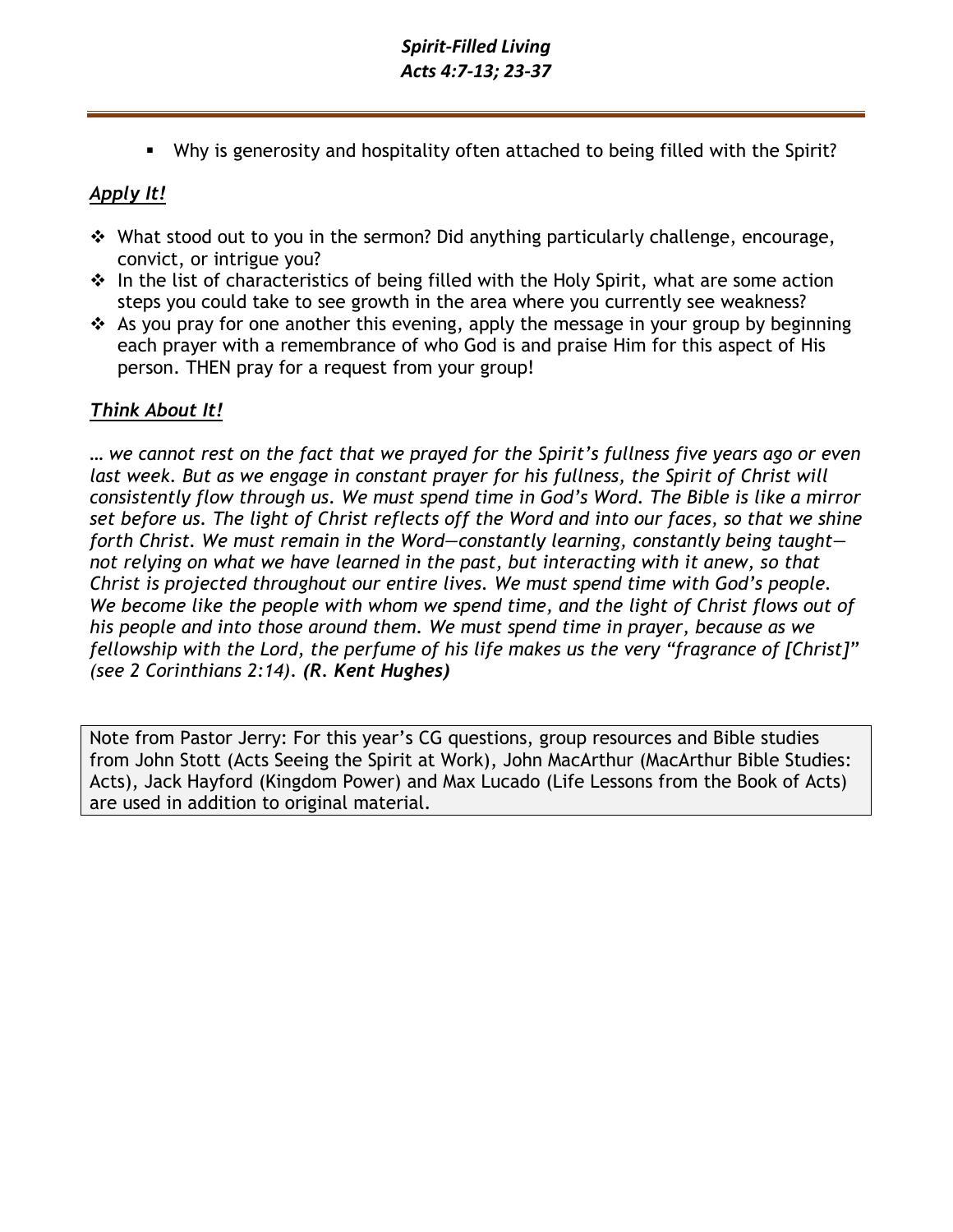▪ Why is generosity and hospitality often attached to being filled with the Spirit?

## *Apply It!*

- ❖ What stood out to you in the sermon? Did anything particularly challenge, encourage, convict, or intrigue you?
- ❖ In the list of characteristics of being filled with the Holy Spirit, what are some action steps you could take to see growth in the area where you currently see weakness?
- ❖ As you pray for one another this evening, apply the message in your group by beginning each prayer with a remembrance of who God is and praise Him for this aspect of His person. THEN pray for a request from your group!

# *Think About It!*

*… we cannot rest on the fact that we prayed for the Spirit's fullness five years ago or even*  last week. But as we engage in constant prayer for his fullness, the Spirit of Christ will *consistently flow through us. We must spend time in God's Word. The Bible is like a mirror set before us. The light of Christ reflects off the Word and into our faces, so that we shine forth Christ. We must remain in the Word—constantly learning, constantly being taught not relying on what we have learned in the past, but interacting with it anew, so that Christ is projected throughout our entire lives. We must spend time with God's people. We become like the people with whom we spend time, and the light of Christ flows out of his people and into those around them. We must spend time in prayer, because as we fellowship with the Lord, the perfume of his life makes us the very "fragrance of [Christ]" (see 2 Corinthians 2:14). (R. Kent Hughes)*

Note from Pastor Jerry: For this year's CG questions, group resources and Bible studies from John Stott (Acts Seeing the Spirit at Work), John MacArthur (MacArthur Bible Studies: Acts), Jack Hayford (Kingdom Power) and Max Lucado (Life Lessons from the Book of Acts) are used in addition to original material.